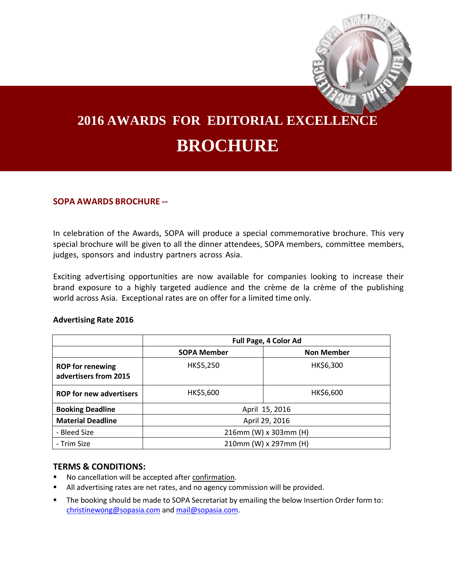

# **2016 AWARDS FOR EDITORIAL EXCELLENCE BROCHURE**

# **SOPA AWARDS BROCHURE --**

In celebration of the Awards, SOPA will produce a special commemorative brochure. This very special brochure will be given to all the dinner attendees, SOPA members, committee members, judges, sponsors and industry partners across Asia.

Exciting advertising opportunities are now available for companies looking to increase their brand exposure to a highly targeted audience and the crème de la crème of the publishing world across Asia. Exceptional rates are on offer for a limited time only.

### **Advertising Rate 2016**

|                                                  | Full Page, 4 Color Ad |                   |
|--------------------------------------------------|-----------------------|-------------------|
|                                                  | <b>SOPA Member</b>    | <b>Non Member</b> |
| <b>ROP</b> for renewing<br>advertisers from 2015 | HK\$5,250             | HK\$6,300         |
| <b>ROP for new advertisers</b>                   | HK\$5,600             | HK\$6,600         |
| <b>Booking Deadline</b>                          | April 15, 2016        |                   |
| <b>Material Deadline</b>                         | April 29, 2016        |                   |
| - Bleed Size                                     | 216mm (W) x 303mm (H) |                   |
| - Trim Size                                      | 210mm (W) x 297mm (H) |                   |

# **TERMS & CONDITIONS:**

- No cancellation will be accepted after confirmation.
- All advertising rates are net rates, and no agency commission will be provided.
- The booking should be made to SOPA Secretariat by emailing the below Insertion Order form to: [christinewong@sopasia.com](mailto:christinewong@sopasia.com) an[d mail@sopasia.com.](mailto:mail@sopasia.com)